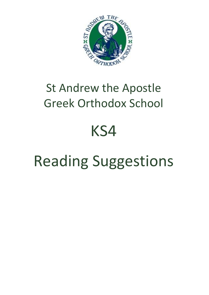

### St Andrew the Apostle Greek Orthodox School

## KS4

# Reading Suggestions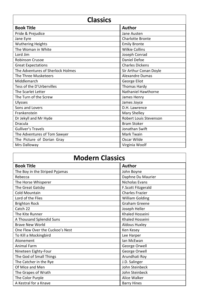| <b>Classics</b>                   |                         |
|-----------------------------------|-------------------------|
| <b>Book Title</b>                 | <b>Author</b>           |
| Pride & Prejudice                 | Jane Austen             |
| Jane Eyre                         | <b>Charlotte Bronte</b> |
| <b>Wuthering Heights</b>          | <b>Emily Bronte</b>     |
| The Woman in White                | <b>Wilkie Collins</b>   |
| Lord Jim                          | Joseph Conrad           |
| <b>Robinson Crusoe</b>            | Daniel Defoe            |
| <b>Great Expectations</b>         | <b>Charles Dickens</b>  |
| The Adventures of Sherlock Holmes | Sir Arthur Conan Doyle  |
| The Three Musketeers              | <b>Alexandre Dumas</b>  |
| Middlemarch                       | George Eliot            |
| Tess of the D'Urbervilles         | Thomas Hardy            |
| The Scarlet Letter                | Nathaniel Hawthorne     |
| The Turn of the Screw             | James Henry             |
| <b>Ulysses</b>                    | James Joyce             |
| Sons and Lovers                   | D.H. Lawrence           |
| Frankenstein                      | Mary Shelley            |
| Dr Jekyll and Mr Hyde             | Robert Louis Stevenson  |
| Dracula                           | <b>Bram Stoker</b>      |
| <b>Gulliver's Travels</b>         | Jonathan Swift          |
| The Adventures of Tom Sawyer      | Mark Twain              |
| The Picture of Dorian Gray        | Oscar Wilde             |
| Mrs Dalloway                      | Virginia Woolf          |

| <b>Modern Classics</b>          |                        |
|---------------------------------|------------------------|
| <b>Book Title</b>               | <b>Author</b>          |
| The Boy in the Striped Pyjamas  | John Boyne             |
| Rebecca                         | Daphne Du Maurier      |
| The Horse Whisperer             | <b>Nicholas Evans</b>  |
| The Great Gatsby                | F.Scott Fitzgerald     |
| <b>Cold Mountain</b>            | <b>Charles Frazier</b> |
| Lord of the Flies               | <b>William Golding</b> |
| <b>Brighton Rock</b>            | <b>Graham Greene</b>   |
| Catch 22                        | Joseph Heller          |
| The Kite Runner                 | Khaled Hosseini        |
| A Thousand Splendid Suns        | <b>Khaled Hosseini</b> |
| <b>Brave New World</b>          | <b>Aldous Huxley</b>   |
| One Flew Over the Cuckoo's Nest | Ken Kesey              |
| To Kill a Mockingbird           | Lee Harper             |
| Atonement                       | lan McEwan             |
| <b>Animal Farm</b>              | George Orwell          |
| Nineteen Eighty-Four            | George Orwell          |
| The God of Small Things         | Arundhati Roy          |
| The Catcher in the Rye          | J.D. Salinger          |
| Of Mice and Men                 | John Steinbeck         |
| The Grapes of Wrath             | John Steinbeck         |
| The Color Purple                | Alice Walker           |
| A Kestral for a Knave           | <b>Barry Hines</b>     |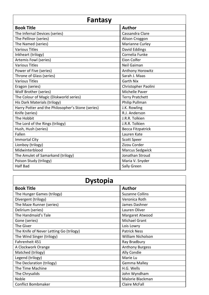| Fantasy                                           |                        |
|---------------------------------------------------|------------------------|
| <b>Book Title</b>                                 | <b>Author</b>          |
| The Infernal Devices (series)                     | Cassandra Clare        |
| The Pellinor (series)                             | Alison Croggon         |
| The Named (series)                                | Marianne Curley        |
| <b>Various Titles</b>                             | David Eddings          |
| Inkheart (trilogy)                                | Cornelia Funke         |
| Artemis Fowl (series)                             | Eion Colfer            |
| <b>Various Titles</b>                             | Neil Gaiman            |
| Power of Five (series)                            | Anthony Horowitz       |
| Throne of Glass (series)                          | Sarah J. Maas          |
| <b>Various Titles</b>                             | <b>Garth Nix</b>       |
| Eragon (series)                                   | Christopher Paolini    |
| Wolf Brother (series)                             | Michelle Paver         |
| The Colour of Magic (Diskworld series)            | <b>Terry Pratchett</b> |
| His Dark Materials (trilogy)                      | Philip Pullman         |
| Harry Potter and the Philosopher's Stone (series) | J.K. Rowling           |
| Knife (series)                                    | R.J. Anderson          |
| The Hobbit                                        | J.R.R. Tolkien         |
| The Lord of the Rings (trilogy)                   | J.R.R. Tolkien         |
| Hush, Hush (series)                               | Becca Fitzpatrick      |
| Fallen                                            | Lauren Kate            |
| <b>Immortal City</b>                              | <b>Scott Speer</b>     |
| Lionboy (trilogy)                                 | Zizou Corder           |
| Midwinterblood                                    | <b>Marcus Sedgwick</b> |
| The Amulet of Samarkand (trilogy)                 | Jonathan Stroud        |
| Poison Study (trilogy)                            | Maria V. Snyder        |
| <b>Half Bad</b>                                   | Sally Green            |

| <b>Dystopia</b>                         |                        |
|-----------------------------------------|------------------------|
| <b>Book Title</b>                       | <b>Author</b>          |
| The Hunger Games (trilogy)              | <b>Suzanne Collins</b> |
| Divergent (trilogy)                     | Veronica Roth          |
| The Maze Runner (series)                | James Dashner          |
| Delirium (series)                       | Lauren Oliver          |
| The Handmaid's Tale                     | Margaret Atwood        |
| Gone (series)                           | <b>Michael Grant</b>   |
| The Giver                               | Lois Lowry             |
| The Knife of Never Letting Go (trilogy) | <b>Patrick Ness</b>    |
| The Wind Singer (trilogy)               | William Nicholson      |
| Fahrenheit 451                          | Ray Bradbury           |
| A Clockwork Orange                      | <b>Anthony Burgess</b> |
| Matched (trilogy)                       | Ally Condie            |
| Legend (trilogy)                        | Marie Lu               |
| The Declaration (trilogy)               | Gemma Malley           |
| The Time Machine                        | H.G. Wells             |
| The Chrysalids                          | John Wyndham           |
| Noble                                   | Malorie Blackman       |
| <b>Conflict Bombmaker</b>               | <b>Claire McFall</b>   |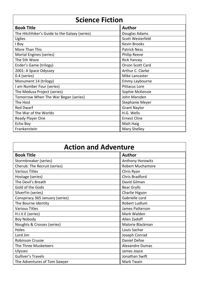| <b>Science Fiction</b>                        |                      |
|-----------------------------------------------|----------------------|
| <b>Book Title</b>                             | <b>Author</b>        |
| The Hitchhiker's Guide to the Galaxy (series) | Douglas Adams        |
| Uglies                                        | Scott Westerfeld     |
| I Boy                                         | <b>Kevin Brooks</b>  |
| More Than This                                | <b>Patrick Ness</b>  |
| Mortal Engines (series)                       | <b>Philip Reeve</b>  |
| The 5th Wave                                  | <b>Rick Yancey</b>   |
| Ender's Game (trilogy)                        | Orson Scott Card     |
| 2001: A Space Odyssey                         | Arthur C. Clarke     |
| 0.4 (series)                                  | Mike Lancaster       |
| Monument 14 (trilogy)                         | Emmy Laybourne       |
| I am Number Four (series)                     | <b>Pittacus Lore</b> |
| The Medusa Project (series)                   | Sophie McKenzie      |
| Tomorrow When The War Began (series)          | John Marsden         |
| The Host                                      | Stephanie Meyer      |
| Red Dwarf                                     | <b>Grant Naylor</b>  |
| The War of the Worlds                         | H.G. Wells           |
| Ready Player One                              | <b>Ernest Cline</b>  |
| Echo Boy                                      | Matt Haig            |
| Frankenstein                                  | Mary Shelley         |

| <b>Action and Adventure</b>     |                         |
|---------------------------------|-------------------------|
| <b>Book Title</b>               | <b>Author</b>           |
| Stormbreaker (series)           | Anthony Horowitz        |
| Cherub: The Recruit (series)    | <b>Robert Muchamore</b> |
| <b>Various Titles</b>           | Chris Ryan              |
| Hostage (series)                | <b>Chris Bradford</b>   |
| The Devil's Breath              | David Gilman            |
| Gold of the Gods                | <b>Bear Grylls</b>      |
| SilverFin (series)              | Charlie Higson          |
| Conspiracy 365 January (series) | Gabrielle Lord          |
| The Bourne Identity             | Robert Ludlum           |
| <b>Various Titles</b>           | James Patterson         |
| H.I.V.E (series)                | Mark Walden             |
| <b>Boy Nobody</b>               | Allen Zadoff            |
| Noughts & Crosses (series)      | Malorie Blackman        |
| Holes                           | Louis Sachar            |
| Lord Jim                        | Joseph Conrad           |
| Robinson Crusoe                 | Daniel Defoe            |
| The Three Musketeers            | <b>Alexandre Dumas</b>  |
| <b>Ulysses</b>                  | James Joyce             |
| <b>Gulliver's Travels</b>       | Jonathan Swift          |
| The Adventures of Tom Sawyer    | Mark Twain              |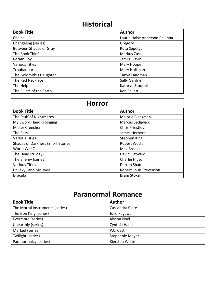| <b>Historical</b>        |                                |
|--------------------------|--------------------------------|
| <b>Book Title</b>        | <b>Author</b>                  |
| Chains                   | Laurie Halse Anderson Philippa |
| Changeling (series)      | Gregory                        |
| Between Shades of Gray   | <b>Ruta Sepetys</b>            |
| The Book Thief           | Markus Zusak                   |
| Coram Boy                | Jamila Gavin                   |
| <b>Various Titles</b>    | Mary Hooper                    |
| Troubadour               | Mary Hoffman                   |
| The Goldmith's Daughter  | Tanya Landman                  |
| The Red Necklace         | Sally Gardner                  |
| The Help                 | Kathryn Stockett               |
| The Pillars of the Earth | Ken Follett                    |

| <b>Horror</b>                             |                               |
|-------------------------------------------|-------------------------------|
| <b>Book Title</b>                         | <b>Author</b>                 |
| The Stuff of Nightmares                   | Malorie Blackman              |
| My Sword Hand is Singing                  | <b>Marcus Sedgwick</b>        |
| <b>Mister Creecher</b>                    | <b>Chris Priestley</b>        |
| The Rats                                  | James Herbert                 |
| <b>Various Titles</b>                     | Stephen King                  |
| <b>Shades of Darkness (Short Stories)</b> | <b>Robert Westall</b>         |
| World War Z                               | <b>Max Brooks</b>             |
| The Dead (trilogy)                        | David Gatward                 |
| The Enemy (series)                        | Charlie Higson                |
| <b>Various Titles</b>                     | Darren Shan                   |
| Dr Jekyll and Mr Hyde                     | <b>Robert Louis Stevenson</b> |
| Dracula                                   | <b>Bram Stoker</b>            |

| <b>Paranormal Romance</b>       |                 |  |
|---------------------------------|-----------------|--|
| <b>Book Title</b>               | <b>Author</b>   |  |
| The Mortal Instruments (series) | Cassandra Clare |  |
| The Iron King (series)          | Julie Kagawa    |  |
| Evermore (series)               | Alyson Noel     |  |
| Unearthly (series)              | Cynthia Hand    |  |
| Marked (series)                 | P.C. Cast       |  |
| Twilight (series)               | Stephenie Meyer |  |
| Paranormalcy (series)           | Kiersten White  |  |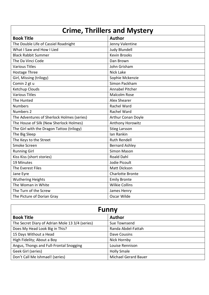| <b>Crime, Thrillers and Mystery</b>        |                         |  |
|--------------------------------------------|-------------------------|--|
| <b>Book Title</b>                          | <b>Author</b>           |  |
| The Double Life of Cassiel Roadnight       | Jenny Valentine         |  |
| What I Saw and How I Lied                  | <b>Judy Blundell</b>    |  |
| <b>Black Rabbit Summer</b>                 | <b>Kevin Brooks</b>     |  |
| The Da Vinci Code                          | Dan Brown               |  |
| <b>Various Titles</b>                      | John Grisham            |  |
| Hostage Three                              | <b>Nick Lake</b>        |  |
| Girl, Missing (trilogy)                    | Sophie Mckenzie         |  |
| Comin 2 gt u                               | Simon Packham           |  |
| Ketchup Clouds                             | <b>Annabel Pitcher</b>  |  |
| <b>Various Titles</b>                      | <b>Malcolm Rose</b>     |  |
| The Hunted                                 | Alex Shearer            |  |
| <b>Numbers</b>                             | <b>Rachel Ward</b>      |  |
| Numbers 2                                  | Rachel Ward             |  |
| The Adventures of Sherlock Holmes (series) | Arthur Conan Doyle      |  |
| The House of Silk (New Sherlock Holmes)    | Anthony Horowitz        |  |
| The Girl with the Dragon Tattoo (trilogy)  | <b>Stieg Larsson</b>    |  |
| The Big Sleep                              | Ian Rankin              |  |
| The Keys to the Street                     | <b>Ruth Rendell</b>     |  |
| Smoke Screen                               | <b>Bernard Ashley</b>   |  |
| <b>Running Girl</b>                        | <b>Simon Mason</b>      |  |
| Kiss Kiss (short stories)                  | <b>Roald Dahl</b>       |  |
| 19 Minutes                                 | Jodie Picoult           |  |
| The Everest Files                          | <b>Matt Dickson</b>     |  |
| Jane Eyre                                  | <b>Charlotte Bronte</b> |  |
| <b>Wuthering Heights</b>                   | <b>Emily Bronte</b>     |  |
| The Woman in White                         | <b>Wilkie Collins</b>   |  |
| The Turn of the Screw                      | James Henry             |  |
| The Picture of Dorian Gray                 | Oscar Wilde             |  |

| <b>Funny</b>                                    |                             |
|-------------------------------------------------|-----------------------------|
| <b>Book Title</b>                               | <b>Author</b>               |
| The Secret Diary of Adrian Mole 13 3/4 (series) | Sue Townsend                |
| Does My Head Look Big in This?                  | Randa Abdel-Fattah          |
| 15 Days Without a Head                          | Dave Cousins                |
| High Fidelity; About a Boy                      | Nick Hornby                 |
| Angus, Thongs and Full-Frontal Snogging         | Louise Rennison             |
| Geek Girl (series)                              | <b>Holly Smale</b>          |
| Don't Call Me Ishmael! (series)                 | <b>Michael Gerard Bauer</b> |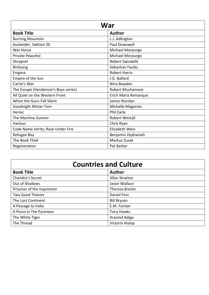| <b>War</b>                           |                         |
|--------------------------------------|-------------------------|
| <b>Book Title</b>                    | <b>Author</b>           |
| <b>Burning Mountain</b>              | L.J. Adlington          |
| Auslander, Sektion 20                | Paul Dowswell           |
| War Horse                            | Michael Morpurgo        |
| Private Peaceful                     | Michael Morpurgo        |
| Shrapnel                             | <b>Robert Swindells</b> |
| Birdsong                             | Sebastian Faulks        |
| Enigma                               | <b>Robert Harris</b>    |
| Empire of the Sun                    | J.G. Ballard            |
| Carrie's War                         | Nina Bawden             |
| The Escape (Henderson's Boys series) | <b>Robert Muchamore</b> |
| All Quiet on the Western Front       | Erich Maria Remarque    |
| When the Guns Fall Silent            | James Riordan           |
| Goodnight Mister Tom                 | Michelle Magorian       |
| Heroic                               | <b>Phil Earle</b>       |
| The Machine Gunner                   | <b>Robert Westall</b>   |
| Various                              | Chris Ryan              |
| Code Name Verity; Rose Under Fire    | Elizabeth Wein          |
| Refugee Boy                          | Benjamin Zephaniah      |
| The Book Thief                       | Markus Zusak            |
| Regeneration                         | Pat Barker              |

| <b>Countries and Culture</b> |                       |  |
|------------------------------|-----------------------|--|
| <b>Book Title</b>            | <b>Author</b>         |  |
| Chandra's Secret             | <b>Allan Stratton</b> |  |
| Out of Shadows               | Jason Wallace         |  |
| Prisoner of the Inquisition  | Theresa Breslin       |  |
| <b>Two Good Thieves</b>      | Daniel Finn           |  |
| The Lost Continent           | <b>Bill Bryson</b>    |  |
| A Passage to India           | E.M. Forster          |  |
| A Piano in The Pyrenees      | Tony Hawks            |  |
| The White Tiger              | Aravind Adiga         |  |
| The Thread                   | Victoria Hislop       |  |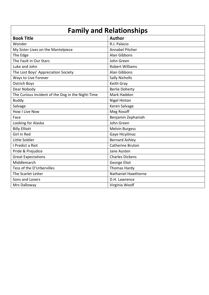| <b>Family and Relationships</b>                   |                        |  |
|---------------------------------------------------|------------------------|--|
| <b>Book Title</b>                                 | <b>Author</b>          |  |
| Wonder                                            | R.J. Palacio           |  |
| My Sister Lives on the Mantelpiece                | Annabel Pitcher        |  |
| The Edge                                          | Alan Gibbons           |  |
| The Fault in Our Stars                            | John Green             |  |
| Luke and John                                     | <b>Robert Williams</b> |  |
| The Lost Boys' Appreciation Society               | Alan Gibbons           |  |
| Ways to Live Forever                              | <b>Sally Nicholls</b>  |  |
| <b>Ostrich Boys</b>                               | Keith Gray             |  |
| Dear Nobody                                       | <b>Berlie Doherty</b>  |  |
| The Curious Incident of the Dog in the Night-Time | Mark Haddon            |  |
| <b>Buddy</b>                                      | <b>Nigel Hinton</b>    |  |
| Salvage                                           | Keren Salvage          |  |
| <b>How I Live Now</b>                             | Meg Rosoff             |  |
| Face                                              | Benjamin Zephaniah     |  |
| Looking for Alaska                                | John Green             |  |
| <b>Billy Elliott</b>                              | <b>Melvin Burgess</b>  |  |
| Girl in Red                                       | Gaye Hicyilmaz         |  |
| Little Soldier                                    | <b>Bernard Ashley</b>  |  |
| I Predict a Riot                                  | Catherine Bruton       |  |
| Pride & Prejudice                                 | Jane Austen            |  |
| <b>Great Expectations</b>                         | <b>Charles Dickens</b> |  |
| Middlemarch                                       | George Eliot           |  |
| Tess of the D'Urbervilles                         | <b>Thomas Hardy</b>    |  |
| The Scarlet Letter                                | Nathaniel Hawthorne    |  |
| Sons and Lovers                                   | D.H. Lawrence          |  |
| Mrs Dalloway                                      | Virginia Woolf         |  |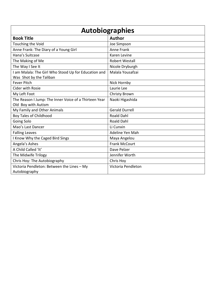| <b>Autobiographies</b>                                |                       |  |
|-------------------------------------------------------|-----------------------|--|
| <b>Book Title</b>                                     | <b>Author</b>         |  |
| Touching the Void                                     | Joe Simpson           |  |
| Anne Frank: The Diary of a Young Girl                 | <b>Anne Frank</b>     |  |
| Hana's Suitcase                                       | Karen Levine          |  |
| The Making of Me                                      | <b>Robert Westall</b> |  |
| The Way I See It                                      | Nicole Dryburgh       |  |
| I am Malala: The Girl Who Stood Up for Education and  | Malala Yousafzai      |  |
| Was Shot by the Taliban                               |                       |  |
| <b>Fever Pitch</b>                                    | Nick Hornby           |  |
| <b>Cider with Rosie</b>                               | Laurie Lee            |  |
| My Left Foot                                          | Christy Brown         |  |
| The Reason I Jump: The Inner Voice of a Thirteen Year | Naoki Higashida       |  |
| Old Boy with Autism                                   |                       |  |
| My Family and Other Animals                           | <b>Gerald Durrell</b> |  |
| <b>Boy Tales of Childhood</b>                         | <b>Roald Dahl</b>     |  |
| Going Solo                                            | <b>Roald Dahl</b>     |  |
| Mao's Last Dancer                                     | Li Cunxin             |  |
| <b>Falling Leaves</b>                                 | Adeline Yen Mah       |  |
| I Know Why the Caged Bird Sings                       | Maya Angelou          |  |
| Angela's Ashes                                        | <b>Frank McCourt</b>  |  |
| A Child Called 'It'                                   | Dave Pelzer           |  |
| The Midwife Trilogy                                   | Jennifer Worth        |  |
| Chris Hoy: The Autobiography                          | Chris Hoy             |  |
| Victoria Pendleton: Between the Lines - My            | Victoria Pendleton    |  |
| Autobiography                                         |                       |  |